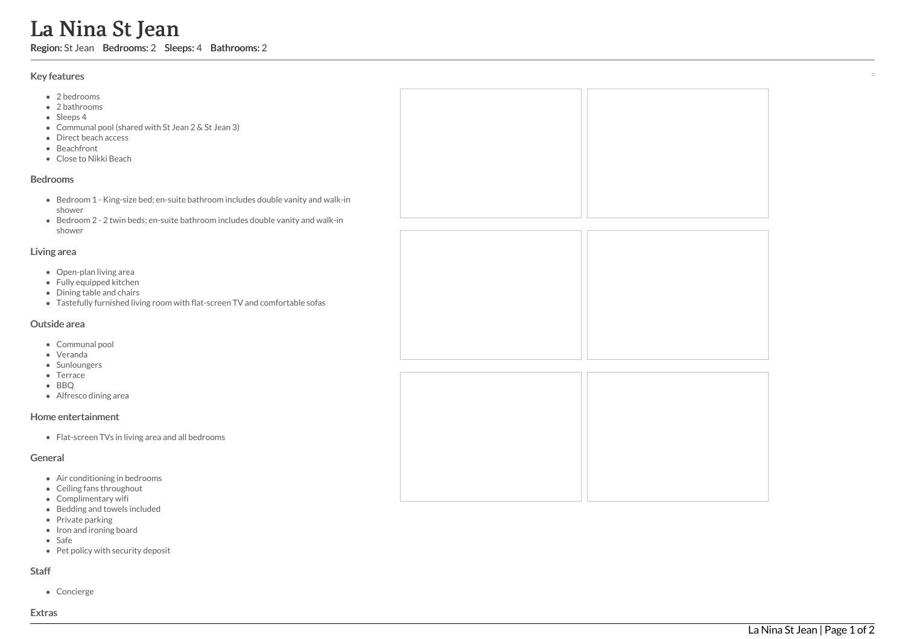# La Nina St Jean

Region: St Jean Bedrooms: 2 Sleeps: 4 Bathrooms: 2

#### Key features

- 2 bedrooms
- 2 bathrooms
- Sleeps 4
- Communal pool (shared with St Jean 2 & St Jean 3)<br>Direct beach access
- ect beach access
- **Beachfront**
- Clo s e t o Nik ki B e a c h

#### **Bedrooms**

- Bedroom 1 King-size bed; en-suite bathroom includes double vanity and walk-in s h o w e r
- Bedroom 2 2 twin beds; en-suite bathroom includes double vanity and walk-in s h o w e r

#### Living area

- Open-plan living area
- Fully equipped kitchen
- Dining table and chairs
- Tastefully furnished living room with flat-screen TV and comfortable sofas

# Outside area

- Communal pool
- Veranda
- Sunloungers
- Terrace
- BBQ
- Alfresco dining area

# Home entertainment

Flat-screen TVs in living area and all bedrooms

# General

- Air conditioning in bedrooms
- Ceiling fans throughout
- Complimentary wifi
- Bedding and towels included
- Private parking
- Iron and ironing board
- S a f e
- Pet policy with security deposit

# S t a f f

Concierge

 $\overline{\phantom{a}}$